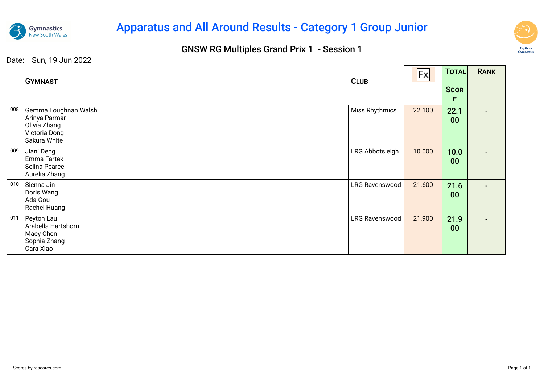

# Apparatus and All Around Results - Category 1 Group Junior

### GNSW RG Multiples Grand Prix 1 - Session 1



 $\overline{\phantom{a}}$ 

┱

|     | <b>GYMNAST</b>                                                                         | <b>CLUB</b>           | Fx     | TOTAL<br><b>SCOR</b><br>E. | <b>RANK</b> |
|-----|----------------------------------------------------------------------------------------|-----------------------|--------|----------------------------|-------------|
| 008 | Gemma Loughnan Walsh<br>Arinya Parmar<br>Olivia Zhang<br>Victoria Dong<br>Sakura White | Miss Rhythmics        | 22.100 | 22.1<br>00                 |             |
| 009 | Jiani Deng<br>Emma Fartek<br>Selina Pearce<br>Aurelia Zhang                            | LRG Abbotsleigh       | 10.000 | 10.0<br>00                 |             |
| 010 | Sienna Jin<br>Doris Wang<br>Ada Gou<br>Rachel Huang                                    | LRG Ravenswood        | 21.600 | 21.6<br>00                 |             |
| 011 | Peyton Lau<br>Arabella Hartshorn<br>Macy Chen<br>Sophia Zhang<br>Cara Xiao             | <b>LRG Ravenswood</b> | 21.900 | 21.9<br>00                 |             |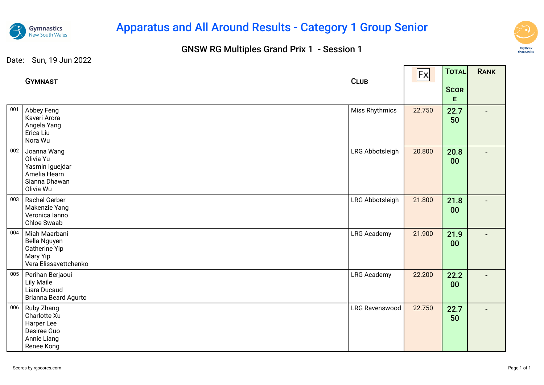

# Apparatus and All Around Results - Category 1 Group Senior

### GNSW RG Multiples Grand Prix 1 - Session 1



|     | <b>GYMNAST</b>                                                                            | <b>CLUB</b>           | <b>Fx</b> | TOTAL            | RANK |
|-----|-------------------------------------------------------------------------------------------|-----------------------|-----------|------------------|------|
|     |                                                                                           |                       |           | <b>SCOR</b><br>E |      |
| 001 | Abbey Feng<br>Kaveri Arora<br>Angela Yang<br>Erica Liu<br>Nora Wu                         | <b>Miss Rhythmics</b> | 22.750    | 22.7<br>50       |      |
| 002 | Joanna Wang<br>Olivia Yu<br>Yasmin Iguejdar<br>Amelia Hearn<br>Sianna Dhawan<br>Olivia Wu | LRG Abbotsleigh       | 20.800    | 20.8<br>00       |      |
| 003 | Rachel Gerber<br>Makenzie Yang<br>Veronica Ianno<br>Chloe Swaab                           | LRG Abbotsleigh       | 21.800    | 21.8<br>00       |      |
| 004 | Miah Maarbani<br>Bella Nguyen<br>Catherine Yip<br>Mary Yip<br>Vera Elissavettchenko       | <b>LRG Academy</b>    | 21.900    | 21.9<br>00       |      |
| 005 | Perihan Berjaoui<br><b>Lily Maile</b><br>Liara Ducaud<br>Brianna Beard Agurto             | <b>LRG Academy</b>    | 22.200    | 22.2<br>00       |      |
| 006 | Ruby Zhang<br>Charlotte Xu<br>Harper Lee<br>Desiree Guo<br>Annie Liang<br>Renee Kong      | LRG Ravenswood        | 22.750    | 22.7<br>50       |      |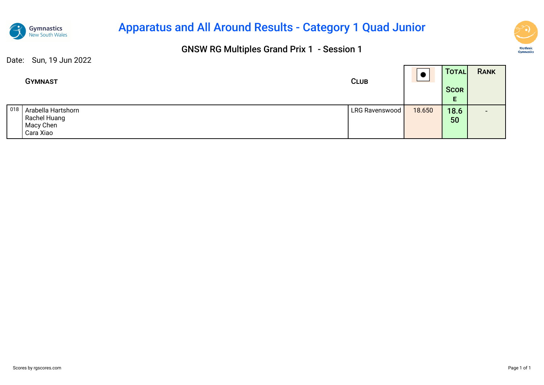

## Apparatus and All Around Results - Category 1 Quad Junior

### GNSW RG Multiples Grand Prix 1 - Session 1



|     | <b>GYMNAST</b>                                               | <b>CLUB</b>    |        | TOTAL<br><b>SCOR</b><br>Е | <b>RANK</b>              |  |
|-----|--------------------------------------------------------------|----------------|--------|---------------------------|--------------------------|--|
| 018 | Arabella Hartshorn<br>Rachel Huang<br>Macy Chen<br>Cara Xiao | LRG Ravenswood | 18.650 | 18.6<br>50                | $\overline{\phantom{0}}$ |  |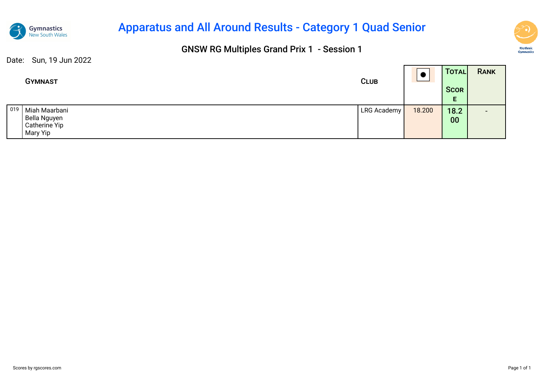

## Apparatus and All Around Results - Category 1 Quad Senior

### GNSW RG Multiples Grand Prix 1 - Session 1



|              | <b>GYMNAST</b>                                             | <b>CLUB</b> |        | TOTALI<br><b>SCOR</b> | <b>RANK</b>              |
|--------------|------------------------------------------------------------|-------------|--------|-----------------------|--------------------------|
|              |                                                            |             |        | E                     |                          |
| $\sqrt{019}$ | Miah Maarbani<br>Bella Nguyen<br>Catherine Yip<br>Mary Yip | LRG Academy | 18.200 | 18.2<br>00            | $\overline{\phantom{0}}$ |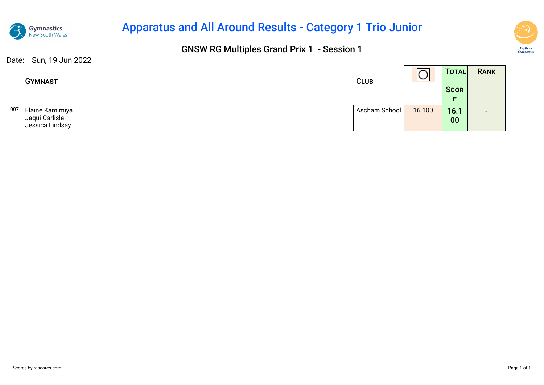

## Apparatus and All Around Results - Category 1 Trio Junior

### GNSW RG Multiples Grand Prix 1 - Session 1



|     | <b>GYMNAST</b>                    | <b>CLUB</b>   | $\sim$<br>и<br>$\overline{\phantom{0}}$ | <b>TOTAL</b> | <b>RANK</b>              |
|-----|-----------------------------------|---------------|-----------------------------------------|--------------|--------------------------|
|     |                                   |               |                                         | <b>SCOR</b>  |                          |
|     |                                   |               |                                         | E.           |                          |
| 007 | Elaine Kamimiya                   | Ascham School | 16.100                                  | 16.1         | $\overline{\phantom{0}}$ |
|     | Jaqui Carlisle<br>Jessica Lindsay |               |                                         | 00           |                          |